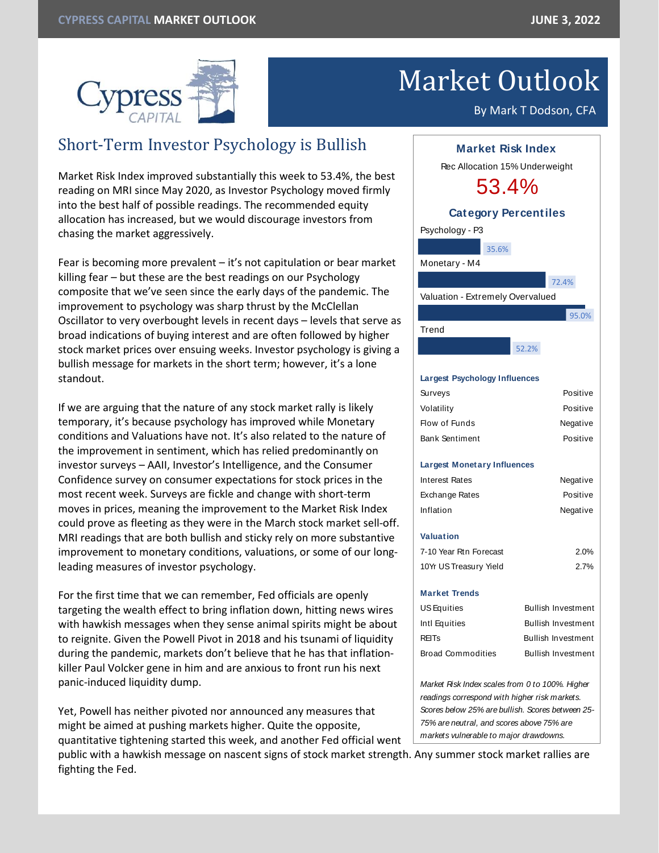

# Market Outlook

By Mark T Dodson, CFA

# Short-Term Investor Psychology is Bullish

Market Risk Index improved substantially this week to 53.4%, the best reading on MRI since May 2020, as Investor Psychology moved firmly into the best half of possible readings. The recommended equity allocation has increased, but we would discourage investors from chasing the market aggressively.

Fear is becoming more prevalent – it's not capitulation or bear market killing fear – but these are the best readings on our Psychology composite that we've seen since the early days of the pandemic. The improvement to psychology was sharp thrust by the McClellan Oscillator to very overbought levels in recent days – levels that serve as broad indications of buying interest and are often followed by higher stock market prices over ensuing weeks. Investor psychology is giving a bullish message for markets in the short term; however, it's a lone standout.

If we are arguing that the nature of any stock market rally is likely temporary, it's because psychology has improved while Monetary conditions and Valuations have not. It's also related to the nature of the improvement in sentiment, which has relied predominantly on investor surveys – AAII, Investor's Intelligence, and the Consumer Confidence survey on consumer expectations for stock prices in the most recent week. Surveys are fickle and change with short-term moves in prices, meaning the improvement to the Market Risk Index could prove as fleeting as they were in the March stock market sell-off. MRI readings that are both bullish and sticky rely on more substantive improvement to monetary conditions, valuations, or some of our longleading measures of investor psychology.

For the first time that we can remember, Fed officials are openly targeting the wealth effect to bring inflation down, hitting news wires with hawkish messages when they sense animal spirits might be about to reignite. Given the Powell Pivot in 2018 and his tsunami of liquidity during the pandemic, markets don't believe that he has that inflationkiller Paul Volcker gene in him and are anxious to front run his next panic-induced liquidity dump.

Yet, Powell has neither pivoted nor announced any measures that might be aimed at pushing markets higher. Quite the opposite, quantitative tightening started this week, and another Fed official went Psychology - P3 Monetary - M4 Valuation - Extremely Overvalued Trend **Largest Psychology Influences** Surveys Positive Volatility Positive Flow of Funds Negative Bank Sentiment Positive **Largest Monetary Influences** Interest Rates **Negative** Exchange Rates **Positive** Inflation Negative **Valuation** 7-10 Year Rtn Forecast 2.0% 10Yr US Treasury Yield 2.7% **Market Trends** *Market Risk Index scales from 0 to 100%. Higher*  **Market Risk Index** Rec Allocation 15% Underweight 53.4% **Category Percentiles** US Equities Bullish Investment Intl Equities Bullish Investment REITs Bullish Investment Broad Commodities Bullish Investment 35.6% 52.2% 95.0% 72.4%

*readings correspond with higher risk markets. Scores below 25% are bullish. Scores between 25- 75% are neutral, and scores above 75% are markets vulnerable to major drawdowns.*

public with a hawkish message on nascent signs of stock market strength. Any summer stock market rallies are fighting the Fed.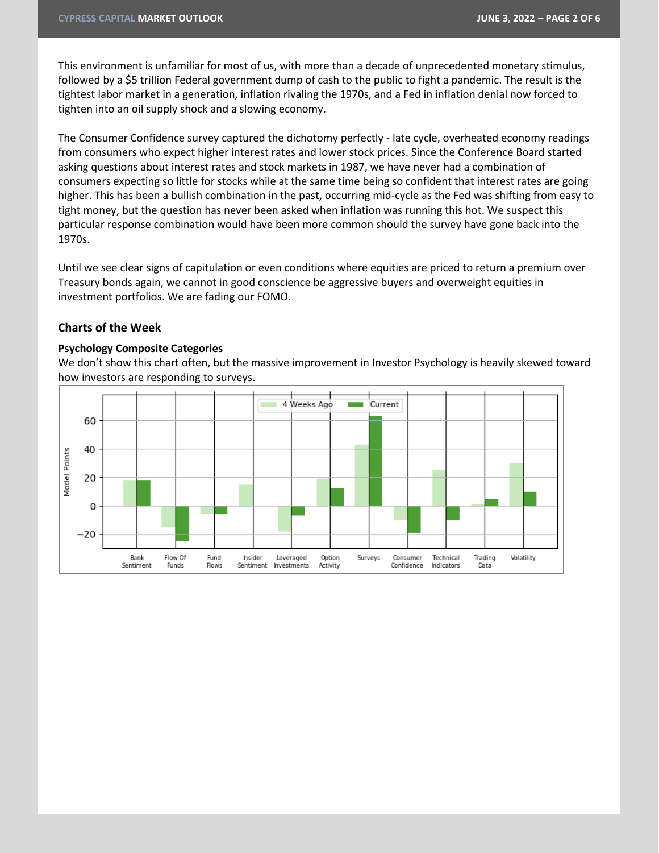This environment is unfamiliar for most of us, with more than a decade of unprecedented monetary stimulus, followed by a \$5 trillion Federal government dump of cash to the public to fight a pandemic. The result is the tightest labor market in a generation, inflation rivaling the 1970s, and a Fed in inflation denial now forced to tighten into an oil supply shock and a slowing economy.

The Consumer Confidence survey captured the dichotomy perfectly - late cycle, overheated economy readings from consumers who expect higher interest rates and lower stock prices. Since the Conference Board started asking questions about interest rates and stock markets in 1987, we have never had a combination of consumers expecting so little for stocks while at the same time being so confident that interest rates are going higher. This has been a bullish combination in the past, occurring mid-cycle as the Fed was shifting from easy to tight money, but the question has never been asked when inflation was running this hot. We suspect this particular response combination would have been more common should the survey have gone back into the 1970s.

Until we see clear signs of capitulation or even conditions where equities are priced to return a premium over Treasury bonds again, we cannot in good conscience be aggressive buyers and overweight equities in investment portfolios. We are fading our FOMO.

## **Charts of the Week**

#### **Psychology Composite Categories**

We don't show this chart often, but the massive improvement in Investor Psychology is heavily skewed toward how investors are responding to surveys.

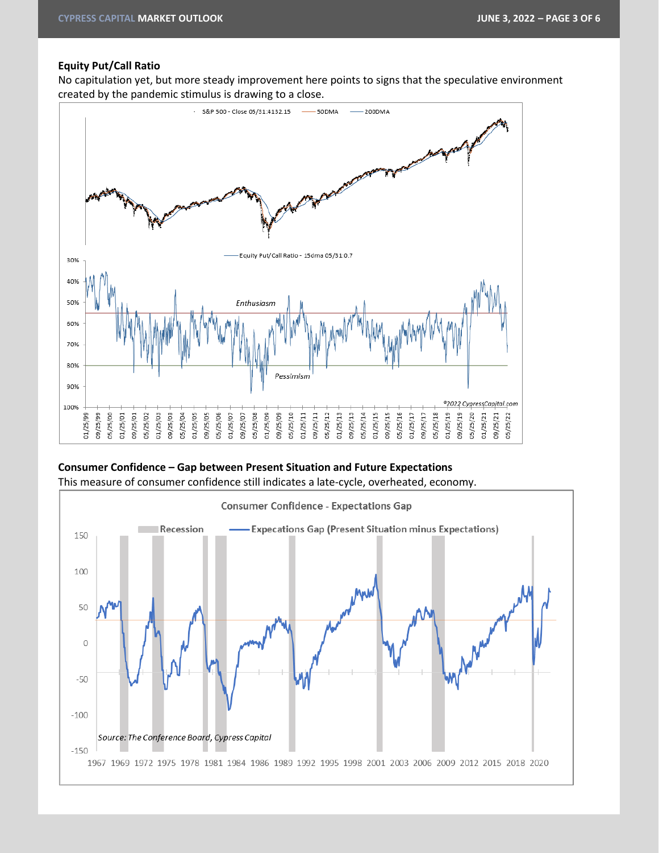#### **Equity Put/Call Ratio**

No capitulation yet, but more steady improvement here points to signs that the speculative environment created by the pandemic stimulus is drawing to a close.



# **Consumer Confidence – Gap between Present Situation and Future Expectations** This measure of consumer confidence still indicates a late-cycle, overheated, economy.

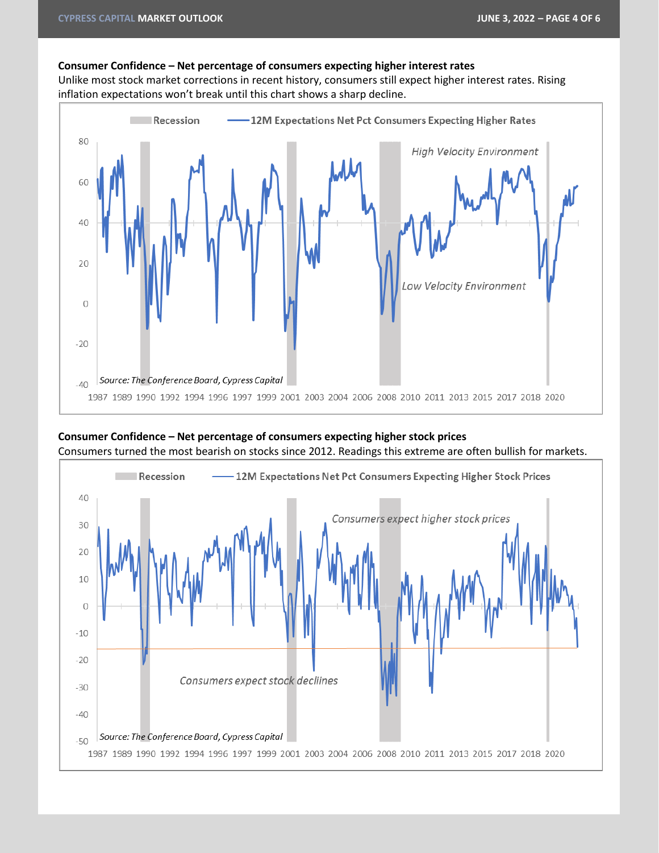#### **Consumer Confidence – Net percentage of consumers expecting higher interest rates**

Unlike most stock market corrections in recent history, consumers still expect higher interest rates. Rising inflation expectations won't break until this chart shows a sharp decline.





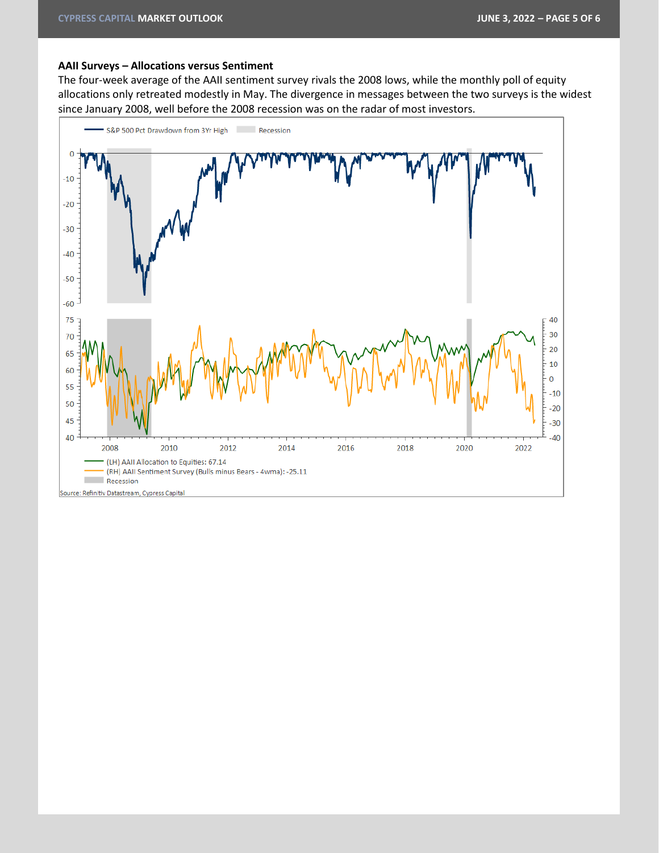#### **AAII Surveys – Allocations versus Sentiment**

The four-week average of the AAII sentiment survey rivals the 2008 lows, while the monthly poll of equity allocations only retreated modestly in May. The divergence in messages between the two surveys is the widest since January 2008, well before the 2008 recession was on the radar of most investors.